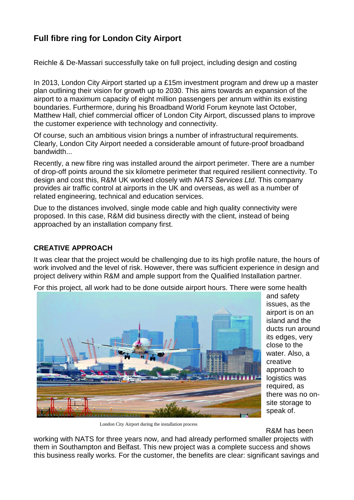## **Full fibre ring for London City Airport**

Reichle & De-Massari successfully take on full project, including design and costing

In 2013, London City Airport started up a £15m investment program and drew up a master plan outlining their vision for growth up to 2030. This aims towards an expansion of the airport to a maximum capacity of eight million passengers per annum within its existing boundaries. Furthermore, during his Broadband World Forum keynote last October, Matthew Hall, chief commercial officer of London City Airport, discussed plans to improve the customer experience with technology and connectivity.

Of course, such an ambitious vision brings a number of infrastructural requirements. Clearly, London City Airport needed a considerable amount of future-proof broadband bandwidth...

Recently, a new fibre ring was installed around the airport perimeter. There are a number of drop-off points around the six kilometre perimeter that required resilient connectivity. To design and cost this, R&M UK worked closely with *NATS Services Ltd.* This company provides air traffic control at airports in the UK and overseas, as well as a number of related engineering, technical and education services.

Due to the distances involved, single mode cable and high quality connectivity were proposed. In this case, R&M did business directly with the client, instead of being approached by an installation company first.

## **CREATIVE APPROACH**

It was clear that the project would be challenging due to its high profile nature, the hours of work involved and the level of risk. However, there was sufficient experience in design and project delivery within R&M and ample support from the Qualified Installation partner.

For this project, all work had to be done outside airport hours. There were some health



and safety issues, as the airport is on an island and the ducts run around its edges, very close to the water. Also, a creative approach to logistics was required, as there was no onsite storage to speak of.

London City Airport during the installation process

R&M has been

working with NATS for three years now, and had already performed smaller projects with them in Southampton and Belfast. This new project was a complete success and shows this business really works. For the customer, the benefits are clear: significant savings and